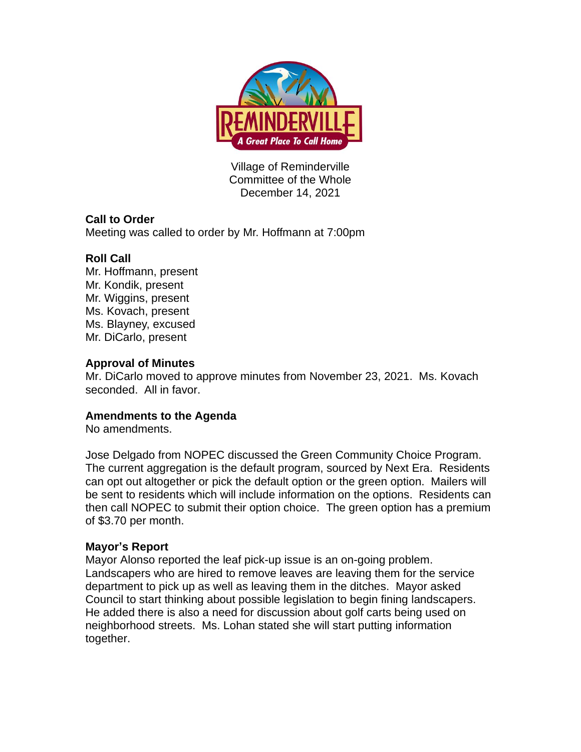

Village of Reminderville Committee of the Whole December 14, 2021

## **Call to Order**

Meeting was called to order by Mr. Hoffmann at 7:00pm

# **Roll Call**

Mr. Hoffmann, present Mr. Kondik, present Mr. Wiggins, present Ms. Kovach, present Ms. Blayney, excused Mr. DiCarlo, present

## **Approval of Minutes**

Mr. DiCarlo moved to approve minutes from November 23, 2021. Ms. Kovach seconded. All in favor.

## **Amendments to the Agenda**

No amendments.

Jose Delgado from NOPEC discussed the Green Community Choice Program. The current aggregation is the default program, sourced by Next Era. Residents can opt out altogether or pick the default option or the green option. Mailers will be sent to residents which will include information on the options. Residents can then call NOPEC to submit their option choice. The green option has a premium of \$3.70 per month.

# **Mayor's Report**

Mayor Alonso reported the leaf pick-up issue is an on-going problem. Landscapers who are hired to remove leaves are leaving them for the service department to pick up as well as leaving them in the ditches. Mayor asked Council to start thinking about possible legislation to begin fining landscapers. He added there is also a need for discussion about golf carts being used on neighborhood streets. Ms. Lohan stated she will start putting information together.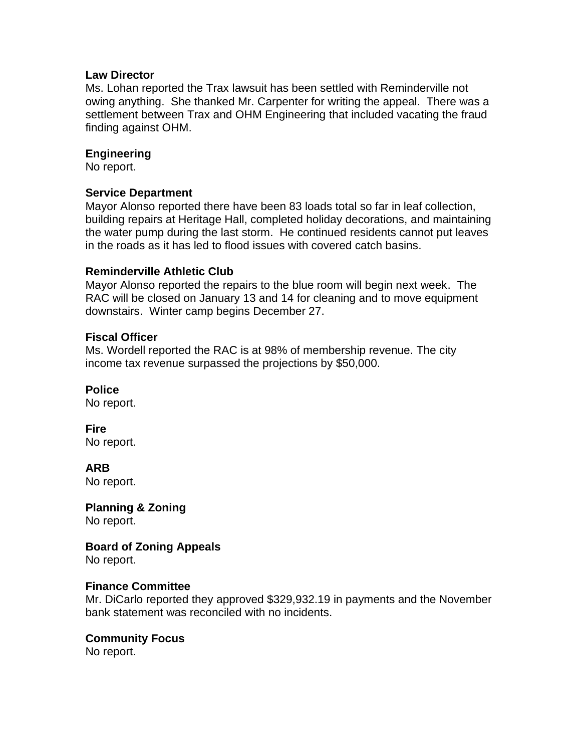#### **Law Director**

Ms. Lohan reported the Trax lawsuit has been settled with Reminderville not owing anything. She thanked Mr. Carpenter for writing the appeal. There was a settlement between Trax and OHM Engineering that included vacating the fraud finding against OHM.

### **Engineering**

No report.

#### **Service Department**

Mayor Alonso reported there have been 83 loads total so far in leaf collection, building repairs at Heritage Hall, completed holiday decorations, and maintaining the water pump during the last storm. He continued residents cannot put leaves in the roads as it has led to flood issues with covered catch basins.

#### **Reminderville Athletic Club**

Mayor Alonso reported the repairs to the blue room will begin next week. The RAC will be closed on January 13 and 14 for cleaning and to move equipment downstairs. Winter camp begins December 27.

## **Fiscal Officer**

Ms. Wordell reported the RAC is at 98% of membership revenue. The city income tax revenue surpassed the projections by \$50,000.

## **Police**

No report.

**Fire**  No report.

**ARB** No report.

**Planning & Zoning** No report.

**Board of Zoning Appeals** No report.

## **Finance Committee**

Mr. DiCarlo reported they approved \$329,932.19 in payments and the November bank statement was reconciled with no incidents.

## **Community Focus**

No report.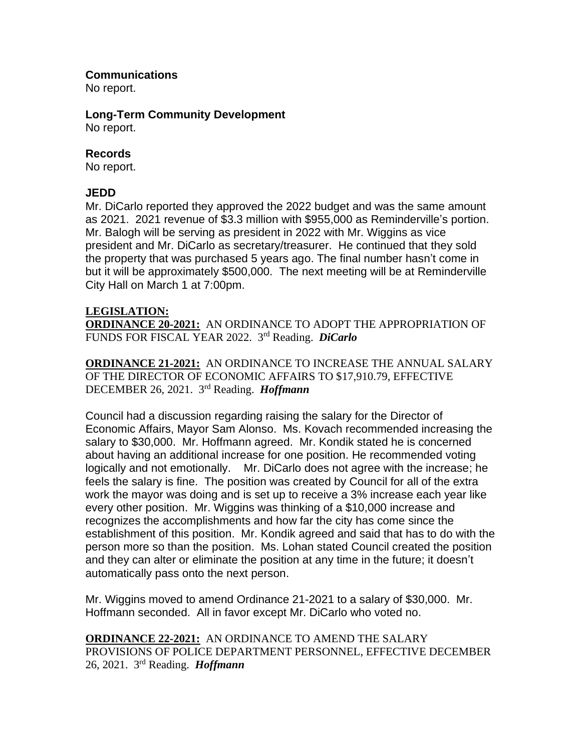#### **Communications**

No report.

# **Long-Term Community Development**

No report.

### **Records**

No report.

## **JEDD**

Mr. DiCarlo reported they approved the 2022 budget and was the same amount as 2021. 2021 revenue of \$3.3 million with \$955,000 as Reminderville's portion. Mr. Balogh will be serving as president in 2022 with Mr. Wiggins as vice president and Mr. DiCarlo as secretary/treasurer. He continued that they sold the property that was purchased 5 years ago. The final number hasn't come in but it will be approximately \$500,000. The next meeting will be at Reminderville City Hall on March 1 at 7:00pm.

#### **LEGISLATION:**

**ORDINANCE 20-2021:** AN ORDINANCE TO ADOPT THE APPROPRIATION OF FUNDS FOR FISCAL YEAR 2022. 3 rd Reading. *DiCarlo*

**ORDINANCE 21-2021:** AN ORDINANCE TO INCREASE THE ANNUAL SALARY OF THE DIRECTOR OF ECONOMIC AFFAIRS TO \$17,910.79, EFFECTIVE DECEMBER 26, 2021. 3 rd Reading. *Hoffmann*

Council had a discussion regarding raising the salary for the Director of Economic Affairs, Mayor Sam Alonso. Ms. Kovach recommended increasing the salary to \$30,000. Mr. Hoffmann agreed. Mr. Kondik stated he is concerned about having an additional increase for one position. He recommended voting logically and not emotionally. Mr. DiCarlo does not agree with the increase; he feels the salary is fine. The position was created by Council for all of the extra work the mayor was doing and is set up to receive a 3% increase each year like every other position. Mr. Wiggins was thinking of a \$10,000 increase and recognizes the accomplishments and how far the city has come since the establishment of this position. Mr. Kondik agreed and said that has to do with the person more so than the position. Ms. Lohan stated Council created the position and they can alter or eliminate the position at any time in the future; it doesn't automatically pass onto the next person.

Mr. Wiggins moved to amend Ordinance 21-2021 to a salary of \$30,000. Mr. Hoffmann seconded. All in favor except Mr. DiCarlo who voted no.

**ORDINANCE 22-2021:** AN ORDINANCE TO AMEND THE SALARY PROVISIONS OF POLICE DEPARTMENT PERSONNEL, EFFECTIVE DECEMBER 26, 2021. 3 rd Reading. *Hoffmann*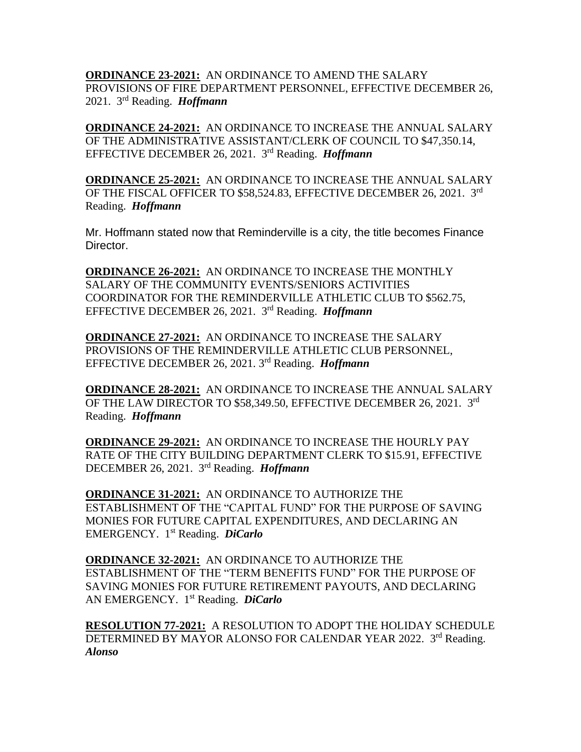**ORDINANCE 23-2021:** AN ORDINANCE TO AMEND THE SALARY PROVISIONS OF FIRE DEPARTMENT PERSONNEL, EFFECTIVE DECEMBER 26, 2021. 3 rd Reading. *Hoffmann*

**ORDINANCE 24-2021:** AN ORDINANCE TO INCREASE THE ANNUAL SALARY OF THE ADMINISTRATIVE ASSISTANT/CLERK OF COUNCIL TO \$47,350.14, EFFECTIVE DECEMBER 26, 2021. 3 rd Reading. *Hoffmann*

**ORDINANCE 25-2021:** AN ORDINANCE TO INCREASE THE ANNUAL SALARY OF THE FISCAL OFFICER TO \$58,524.83, EFFECTIVE DECEMBER 26, 2021. 3rd Reading. *Hoffmann*

Mr. Hoffmann stated now that Reminderville is a city, the title becomes Finance Director.

**ORDINANCE 26-2021:** AN ORDINANCE TO INCREASE THE MONTHLY SALARY OF THE COMMUNITY EVENTS/SENIORS ACTIVITIES COORDINATOR FOR THE REMINDERVILLE ATHLETIC CLUB TO \$562.75, EFFECTIVE DECEMBER 26, 2021. 3 rd Reading. *Hoffmann*

**ORDINANCE 27-2021:** AN ORDINANCE TO INCREASE THE SALARY PROVISIONS OF THE REMINDERVILLE ATHLETIC CLUB PERSONNEL, EFFECTIVE DECEMBER 26, 2021. 3 rd Reading. *Hoffmann*

**ORDINANCE 28-2021:** AN ORDINANCE TO INCREASE THE ANNUAL SALARY OF THE LAW DIRECTOR TO \$58,349.50, EFFECTIVE DECEMBER 26, 2021. 3rd Reading. *Hoffmann*

**ORDINANCE 29-2021:** AN ORDINANCE TO INCREASE THE HOURLY PAY RATE OF THE CITY BUILDING DEPARTMENT CLERK TO \$15.91, EFFECTIVE DECEMBER 26, 2021. 3 rd Reading. *Hoffmann*

**ORDINANCE 31-2021:** AN ORDINANCE TO AUTHORIZE THE ESTABLISHMENT OF THE "CAPITAL FUND" FOR THE PURPOSE OF SAVING MONIES FOR FUTURE CAPITAL EXPENDITURES, AND DECLARING AN EMERGENCY. 1 st Reading. *DiCarlo*

**ORDINANCE 32-2021:** AN ORDINANCE TO AUTHORIZE THE ESTABLISHMENT OF THE "TERM BENEFITS FUND" FOR THE PURPOSE OF SAVING MONIES FOR FUTURE RETIREMENT PAYOUTS, AND DECLARING AN EMERGENCY. 1 st Reading. *DiCarlo*

**RESOLUTION 77-2021:** A RESOLUTION TO ADOPT THE HOLIDAY SCHEDULE DETERMINED BY MAYOR ALONSO FOR CALENDAR YEAR 2022. 3rd Reading. *Alonso*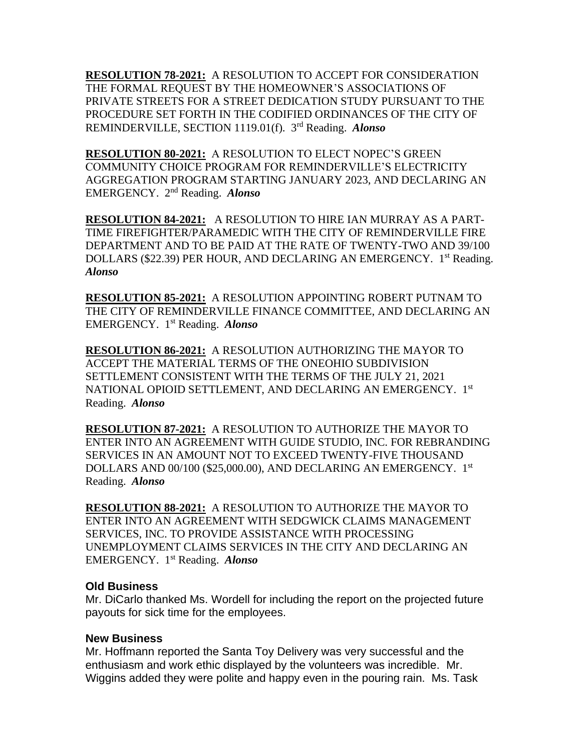**RESOLUTION 78-2021:** A RESOLUTION TO ACCEPT FOR CONSIDERATION THE FORMAL REQUEST BY THE HOMEOWNER'S ASSOCIATIONS OF PRIVATE STREETS FOR A STREET DEDICATION STUDY PURSUANT TO THE PROCEDURE SET FORTH IN THE CODIFIED ORDINANCES OF THE CITY OF REMINDERVILLE, SECTION 1119.01(f). 3 rd Reading. *Alonso*

**RESOLUTION 80-2021:** A RESOLUTION TO ELECT NOPEC'S GREEN COMMUNITY CHOICE PROGRAM FOR REMINDERVILLE'S ELECTRICITY AGGREGATION PROGRAM STARTING JANUARY 2023, AND DECLARING AN EMERGENCY. 2nd Reading. *Alonso*

**RESOLUTION 84-2021:** A RESOLUTION TO HIRE IAN MURRAY AS A PART-TIME FIREFIGHTER/PARAMEDIC WITH THE CITY OF REMINDERVILLE FIRE DEPARTMENT AND TO BE PAID AT THE RATE OF TWENTY-TWO AND 39/100 DOLLARS (\$22.39) PER HOUR, AND DECLARING AN EMERGENCY. 1<sup>st</sup> Reading. *Alonso*

**RESOLUTION 85-2021:** A RESOLUTION APPOINTING ROBERT PUTNAM TO THE CITY OF REMINDERVILLE FINANCE COMMITTEE, AND DECLARING AN EMERGENCY. 1 st Reading. *Alonso*

**RESOLUTION 86-2021:** A RESOLUTION AUTHORIZING THE MAYOR TO ACCEPT THE MATERIAL TERMS OF THE ONEOHIO SUBDIVISION SETTLEMENT CONSISTENT WITH THE TERMS OF THE JULY 21, 2021 NATIONAL OPIOID SETTLEMENT, AND DECLARING AN EMERGENCY. 1st Reading. *Alonso*

**RESOLUTION 87-2021:** A RESOLUTION TO AUTHORIZE THE MAYOR TO ENTER INTO AN AGREEMENT WITH GUIDE STUDIO, INC. FOR REBRANDING SERVICES IN AN AMOUNT NOT TO EXCEED TWENTY-FIVE THOUSAND DOLLARS AND 00/100 (\$25,000.00), AND DECLARING AN EMERGENCY. 1st Reading. *Alonso*

**RESOLUTION 88-2021:** A RESOLUTION TO AUTHORIZE THE MAYOR TO ENTER INTO AN AGREEMENT WITH SEDGWICK CLAIMS MANAGEMENT SERVICES, INC. TO PROVIDE ASSISTANCE WITH PROCESSING UNEMPLOYMENT CLAIMS SERVICES IN THE CITY AND DECLARING AN EMERGENCY. 1 st Reading. *Alonso*

#### **Old Business**

Mr. DiCarlo thanked Ms. Wordell for including the report on the projected future payouts for sick time for the employees.

#### **New Business**

Mr. Hoffmann reported the Santa Toy Delivery was very successful and the enthusiasm and work ethic displayed by the volunteers was incredible. Mr. Wiggins added they were polite and happy even in the pouring rain. Ms. Task